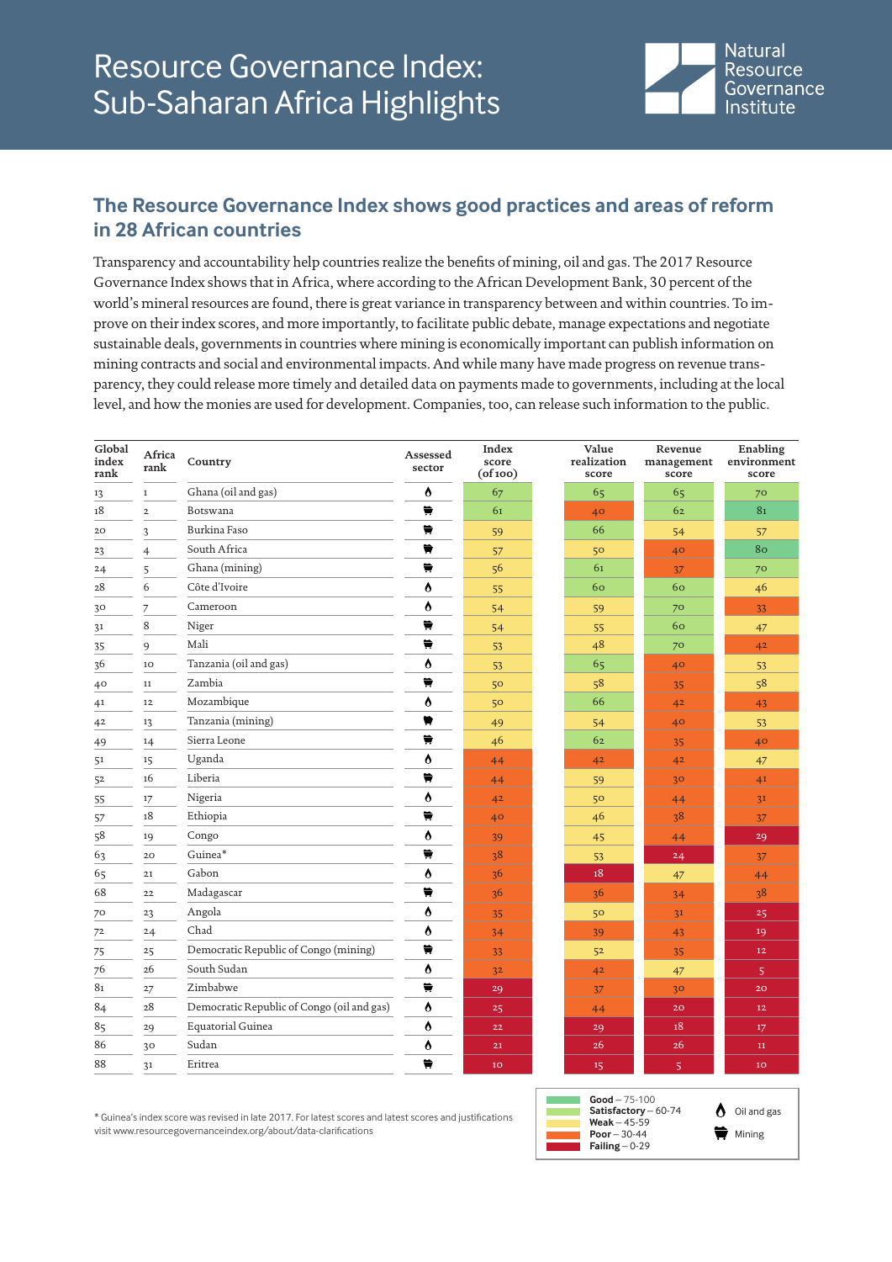

## **The Resource Governance Index shows good practices and areas of reform in 28 African countries**

Transparency and accountability help countries realize the benefits of mining, oil and gas. The 2017 Resource Governance Index shows that in Africa, where according to the African Development Bank, 30 percent of the world's mineral resources are found, there is great variance in transparency between and within countries. To improve on their index scores, and more importantly, to facilitate public debate, manage expectations and negotiate sustainable deals, governments in countries where mining is economically important can publish information on mining contracts and social and environmental impacts. And while many have made progress on revenue transparency, they could release more timely and detailed data on payments made to governments, including at the local level, and how the monies are used for development. Companies, too, can release such information to the public.

| Global<br>index<br>rank | Africa<br>rank | Country                                    | Assessed<br>sector      | Index<br>score<br>(of 100) | Value<br>realization<br>score | Revenue<br>management<br>score | Enabling<br>environment<br>score |
|-------------------------|----------------|--------------------------------------------|-------------------------|----------------------------|-------------------------------|--------------------------------|----------------------------------|
| 13                      | $\mathbf I$    | Ghana (oil and gas)                        | Ô                       | 67                         | 65                            | 65                             | 70                               |
| 18                      | $\mathbf 2$    | Botswana                                   | ₩                       | 61                         | 40 <sup>°</sup>               | 62                             | 81                               |
| 20                      | 3              | Burkina Faso                               | ₩                       | 59                         | 66                            | 54                             | 57                               |
| 23                      | $\overline{4}$ | South Africa                               | ₩                       | 57                         | 50                            | 40                             | 80                               |
| 24                      | 5              | Ghana (mining)                             | ₩                       | 56                         | 61                            | 37                             | 70                               |
| 28                      | 6              | Côte d'Ivoire                              | Ô                       | 55                         | 60                            | 60                             | 46                               |
| 30                      | 7              | Cameroon                                   | Ô                       | 54                         | 59                            | 70                             | 33                               |
| 31                      | 8              | Niger                                      | $\overline{\mathbf{H}}$ | 54                         | 55                            | 60                             | 47                               |
| 35                      | 9              | Mali                                       | ₩                       | 53                         | 48                            | 70                             | 42                               |
| 36                      | 10             | Tanzania (oil and gas)                     | Ô                       | 53                         | 65                            | 40                             | 53                               |
| 40                      | $11\,$         | Zambia                                     | ₩                       | 50                         | 58                            | 35                             | 58                               |
| 41                      | $12\,$         | Mozambique                                 | Ô                       | 50                         | 66                            | 4 <sup>2</sup>                 | 43                               |
| 42                      | 13             | Tanzania (mining)                          | ₩                       | 49                         | 54                            | 40                             | 53                               |
| 49                      | 14             | Sierra Leone                               | ₩                       | 46                         | 62                            | 35                             | 40                               |
| 51                      | 15             | Uganda                                     | Ô                       | 44                         | 42                            | 4 <sup>2</sup>                 | 47                               |
| 52                      | 16             | Liberia                                    | ₩                       | 44                         | 59                            | 30                             | 41                               |
| 55                      | 17             | Nigeria                                    | Ô                       | 42                         | 50                            | 44                             | 31                               |
| 57                      | 18             | Ethiopia                                   | Ħ                       | 40                         | 46                            | 38                             | 37                               |
| 58                      | 19             | Congo                                      | Ô                       | 39                         | 45                            | 44                             | 29                               |
| 63                      | 20             | Guinea*                                    | $\overrightarrow{H}$    | 38                         | 53                            | 24                             | 37                               |
| 65                      | 21             | Gabon                                      | Ò                       | 36                         | 18                            | 47                             | 44                               |
| 68                      | $2\sqrt{2}$    | Madagascar                                 | ₩                       | 3 <sup>6</sup>             | 36                            | 34                             | 38                               |
| 70                      | 23             | Angola                                     | Ô                       | 35                         | 50                            | 31                             | 25                               |
| 72                      | 24             | Chad                                       | Ô                       | 34                         | 39                            | 43                             | 19                               |
| 75                      | 25             | Democratic Republic of Congo (mining)      | ₩                       | 33                         | 52                            | 35                             | 12                               |
| 76                      | 26             | South Sudan                                | Ô                       | 3 <sup>2</sup>             | 42                            | 47                             | 5 <sub>1</sub>                   |
| 81                      | $27\,$         | Zimbabwe                                   | ₩                       | 29                         | 37                            | 30 <sub>o</sub>                | 20 <sub>o</sub>                  |
| $\bf 84$                | 28             | Democratic Republic of Congo (oil and gas) | Ô                       | 25                         | 44                            | 20                             | 12                               |
| 85                      | 29             | <b>Equatorial Guinea</b>                   | Ò                       | 22                         | 29                            | 18                             | 17                               |
| 86                      | 30             | Sudan                                      | Ô                       | 21                         | 26                            | 26                             | $11\,$                           |
| 88                      | 31             | Eritrea                                    | ₩                       | 10 <sub>o</sub>            | 15                            | $\overline{5}$                 | 10                               |

\* Guinea's index score was revised in late 2017. For latest scores and latest scores and justifications visit www.resourcegovernanceindex.org/about/data-clarifications



 $\bigwedge$  Oil and gas  $\bigoplus$  Mining